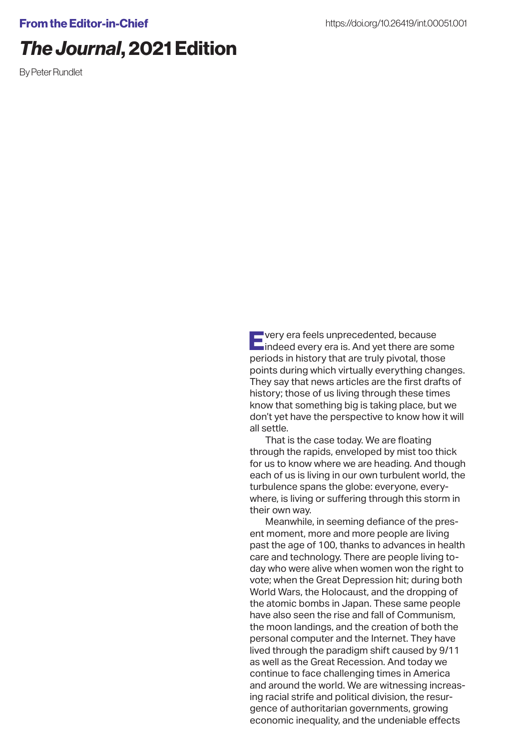## *The Journal*, 2021 Edition

By Peter Rundlet

Every era feels unprecedented, because indeed every era is. And yet there are some periods in history that are truly pivotal, those points during which virtually everything changes. They say that news articles are the first drafts of history; those of us living through these times know that something big is taking place, but we don't yet have the perspective to know how it will all settle.

That is the case today. We are floating through the rapids, enveloped by mist too thick for us to know where we are heading. And though each of us is living in our own turbulent world, the turbulence spans the globe: everyone, everywhere, is living or suffering through this storm in their own way.

Meanwhile, in seeming defiance of the present moment, more and more people are living past the age of 100, thanks to advances in health care and technology. There are people living today who were alive when women won the right to vote; when the Great Depression hit; during both World Wars, the Holocaust, and the dropping of the atomic bombs in Japan. These same people have also seen the rise and fall of Communism, the moon landings, and the creation of both the personal computer and the Internet. They have lived through the paradigm shift caused by 9/11 as well as the Great Recession. And today we continue to face challenging times in America and around the world. We are witnessing increasing racial strife and political division, the resurgence of authoritarian governments, growing economic inequality, and the undeniable effects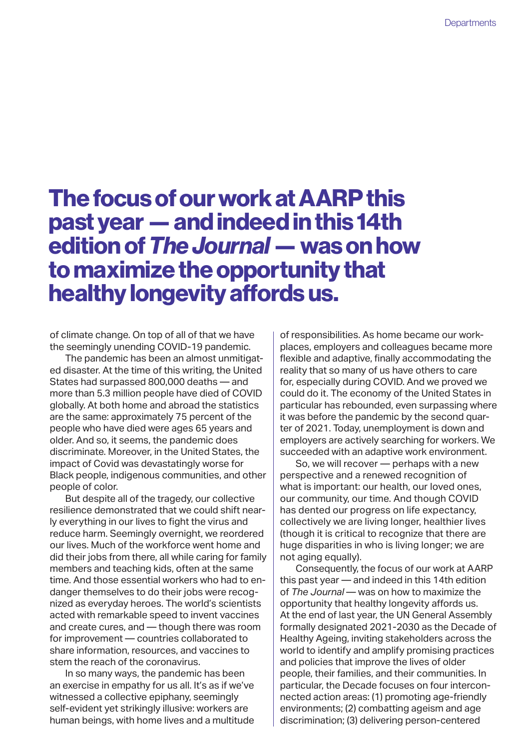## The focus of our work at AARP this past year — and indeed in this 14th edition of *The Journal* — was on how to maximize the opportunity that healthy longevity affords us.

of climate change. On top of all of that we have the seemingly unending COVID-19 pandemic.

The pandemic has been an almost unmitigated disaster. At the time of this writing, the United States had surpassed 800,000 deaths — and more than 5.3 million people have died of COVID globally. At both home and abroad the statistics are the same: approximately 75 percent of the people who have died were ages 65 years and older. And so, it seems, the pandemic does discriminate. Moreover, in the United States, the impact of Covid was devastatingly worse for Black people, indigenous communities, and other people of color.

But despite all of the tragedy, our collective resilience demonstrated that we could shift nearly everything in our lives to fight the virus and reduce harm. Seemingly overnight, we reordered our lives. Much of the workforce went home and did their jobs from there, all while caring for family members and teaching kids, often at the same time. And those essential workers who had to endanger themselves to do their jobs were recognized as everyday heroes. The world's scientists acted with remarkable speed to invent vaccines and create cures, and — though there was room for improvement — countries collaborated to share information, resources, and vaccines to stem the reach of the coronavirus.

In so many ways, the pandemic has been an exercise in empathy for us all. It's as if we've witnessed a collective epiphany, seemingly self-evident yet strikingly illusive: workers are human beings, with home lives and a multitude of responsibilities. As home became our workplaces, employers and colleagues became more flexible and adaptive, finally accommodating the reality that so many of us have others to care for, especially during COVID. And we proved we could do it. The economy of the United States in particular has rebounded, even surpassing where it was before the pandemic by the second quarter of 2021. Today, unemployment is down and employers are actively searching for workers. We succeeded with an adaptive work environment.

So, we will recover — perhaps with a new perspective and a renewed recognition of what is important: our health, our loved ones, our community, our time. And though COVID has dented our progress on life expectancy, collectively we are living longer, healthier lives (though it is critical to recognize that there are huge disparities in who is living longer; we are not aging equally).

Consequently, the focus of our work at AARP this past year — and indeed in this 14th edition of *The Journal* — was on how to maximize the opportunity that healthy longevity affords us. At the end of last year, the UN General Assembly formally designated 2021-2030 as the Decade of Healthy Ageing, inviting stakeholders across the world to identify and amplify promising practices and policies that improve the lives of older people, their families, and their communities. In particular, the Decade focuses on four interconnected action areas: (1) promoting age-friendly environments; (2) combatting ageism and age discrimination; (3) delivering person-centered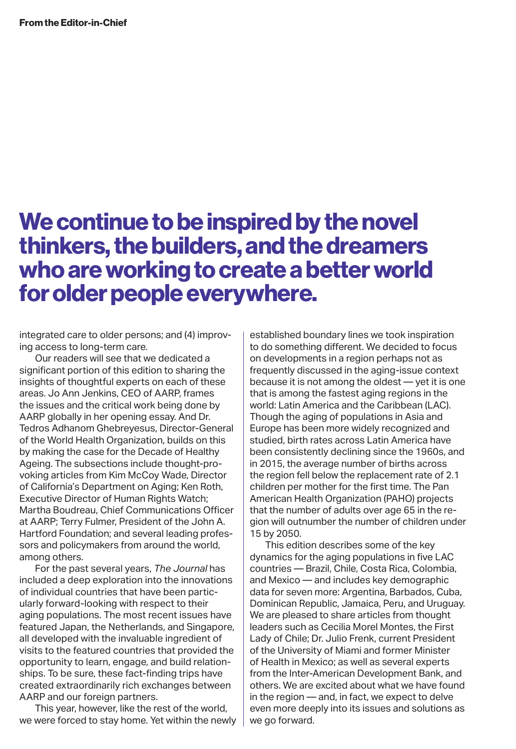## We continue to be inspired by the novel thinkers, the builders, and the dreamers who are working to create a better world for older people everywhere.

integrated care to older persons; and (4) improving access to long-term care.

Our readers will see that we dedicated a significant portion of this edition to sharing the insights of thoughtful experts on each of these areas. Jo Ann Jenkins, CEO of AARP, frames the issues and the critical work being done by AARP globally in her opening essay. And Dr. Tedros Adhanom Ghebreyesus, Director-General of the World Health Organization, builds on this by making the case for the Decade of Healthy Ageing. The subsections include thought-provoking articles from Kim McCoy Wade, Director of California's Department on Aging; Ken Roth, Executive Director of Human Rights Watch; Martha Boudreau, Chief Communications Officer at AARP; Terry Fulmer, President of the John A. Hartford Foundation; and several leading professors and policymakers from around the world, among others.

For the past several years, *The Journal* has included a deep exploration into the innovations of individual countries that have been particularly forward-looking with respect to their aging populations. The most recent issues have featured Japan, the Netherlands, and Singapore, all developed with the invaluable ingredient of visits to the featured countries that provided the opportunity to learn, engage, and build relationships. To be sure, these fact-finding trips have created extraordinarily rich exchanges between AARP and our foreign partners.

This year, however, like the rest of the world, we were forced to stay home. Yet within the newly established boundary lines we took inspiration to do something different. We decided to focus on developments in a region perhaps not as frequently discussed in the aging-issue context because it is not among the oldest — yet it is one that is among the fastest aging regions in the world: Latin America and the Caribbean (LAC). Though the aging of populations in Asia and Europe has been more widely recognized and studied, birth rates across Latin America have been consistently declining since the 1960s, and in 2015, the average number of births across the region fell below the replacement rate of 2.1 children per mother for the first time. The Pan American Health Organization (PAHO) projects that the number of adults over age 65 in the region will outnumber the number of children under 15 by 2050.

This edition describes some of the key dynamics for the aging populations in five LAC countries — Brazil, Chile, Costa Rica, Colombia, and Mexico — and includes key demographic data for seven more: Argentina, Barbados, Cuba, Dominican Republic, Jamaica, Peru, and Uruguay. We are pleased to share articles from thought leaders such as Cecilia Morel Montes, the First Lady of Chile; Dr. Julio Frenk, current President of the University of Miami and former Minister of Health in Mexico; as well as several experts from the Inter-American Development Bank, and others. We are excited about what we have found in the region — and, in fact, we expect to delve even more deeply into its issues and solutions as we go forward.